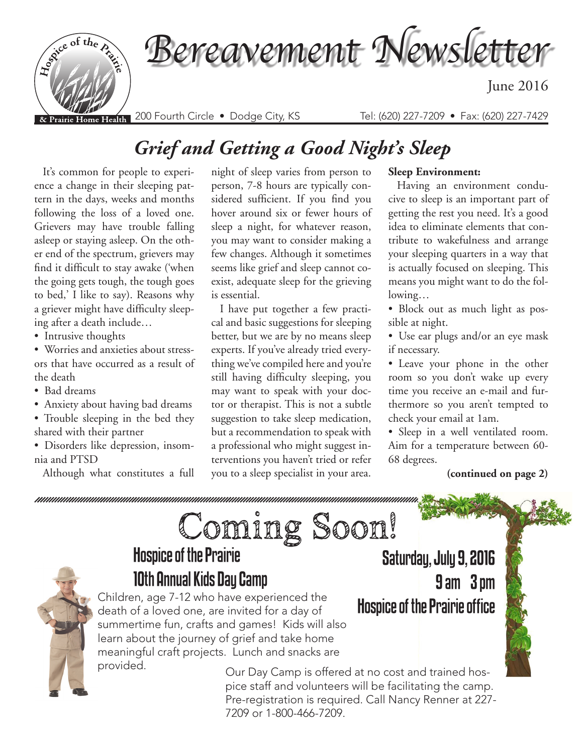

## *Grief and Getting a Good Night's Sleep*

It's common for people to experience a change in their sleeping pattern in the days, weeks and months following the loss of a loved one. Grievers may have trouble falling asleep or staying asleep. On the other end of the spectrum, grievers may find it difficult to stay awake ('when the going gets tough, the tough goes to bed,' I like to say). Reasons why a griever might have difficulty sleeping after a death include…

• Intrusive thoughts

• Worries and anxieties about stressors that have occurred as a result of the death

- Bad dreams
- Anxiety about having bad dreams

• Trouble sleeping in the bed they shared with their partner

• Disorders like depression, insomnia and PTSD

Although what constitutes a full

night of sleep varies from person to person, 7-8 hours are typically considered sufficient. If you find you hover around six or fewer hours of sleep a night, for whatever reason, you may want to consider making a few changes. Although it sometimes seems like grief and sleep cannot coexist, adequate sleep for the grieving is essential.

I have put together a few practical and basic suggestions for sleeping better, but we are by no means sleep experts. If you've already tried everything we've compiled here and you're still having difficulty sleeping, you may want to speak with your doctor or therapist. This is not a subtle suggestion to take sleep medication, but a recommendation to speak with a professional who might suggest interventions you haven't tried or refer you to a sleep specialist in your area.

#### **Sleep Environment:**

Having an environment conducive to sleep is an important part of getting the rest you need. It's a good idea to eliminate elements that contribute to wakefulness and arrange your sleeping quarters in a way that is actually focused on sleeping. This means you might want to do the following…

- Block out as much light as possible at night.
- Use ear plugs and/or an eye mask if necessary.
- Leave your phone in the other room so you don't wake up every time you receive an e-mail and furthermore so you aren't tempted to check your email at 1am.

• Sleep in a well ventilated room. Aim for a temperature between 60- 68 degrees.

#### **(continued on page 2)**



# Coming Soon! Hospice of the Prairie 10th Annual Kids Day Camp

Children, age 7-12 who have experienced the  $\frac{1}{2}$  **Hospice of the Prairie office** death of a loved one, are invited for a day of summertime fun, crafts and games! Kids will also learn about the journey of grief and take home meaningful craft projects. Lunch and snacks are

Saturday, July 9, 2016 9 am – 3 pm

provided. Our Day Camp is offered at no cost and trained hospice staff and volunteers will be facilitating the camp. Pre-registration is required. Call Nancy Renner at 227- 7209 or 1-800-466-7209.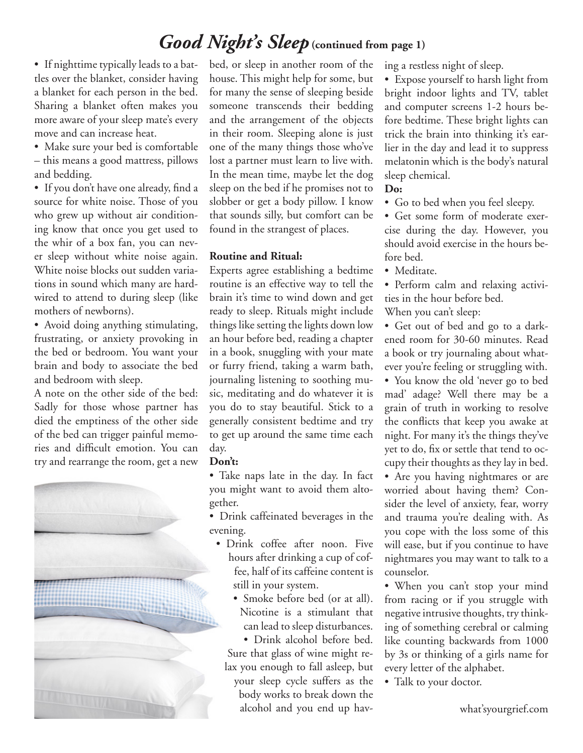### *Good Night's Sleep* **(continued from page 1)**

• If nighttime typically leads to a battles over the blanket, consider having a blanket for each person in the bed. Sharing a blanket often makes you more aware of your sleep mate's every move and can increase heat.

• Make sure your bed is comfortable – this means a good mattress, pillows and bedding.

• If you don't have one already, find a source for white noise. Those of you who grew up without air conditioning know that once you get used to the whir of a box fan, you can never sleep without white noise again. White noise blocks out sudden variations in sound which many are hardwired to attend to during sleep (like mothers of newborns).

• Avoid doing anything stimulating, frustrating, or anxiety provoking in the bed or bedroom. You want your brain and body to associate the bed and bedroom with sleep.

A note on the other side of the bed: Sadly for those whose partner has died the emptiness of the other side of the bed can trigger painful memories and difficult emotion. You can try and rearrange the room, get a new



bed, or sleep in another room of the house. This might help for some, but for many the sense of sleeping beside someone transcends their bedding and the arrangement of the objects in their room. Sleeping alone is just one of the many things those who've lost a partner must learn to live with. In the mean time, maybe let the dog sleep on the bed if he promises not to slobber or get a body pillow. I know that sounds silly, but comfort can be found in the strangest of places.

#### **Routine and Ritual:**

Experts agree establishing a bedtime routine is an effective way to tell the brain it's time to wind down and get ready to sleep. Rituals might include things like setting the lights down low an hour before bed, reading a chapter in a book, snuggling with your mate or furry friend, taking a warm bath, journaling listening to soothing music, meditating and do whatever it is you do to stay beautiful. Stick to a generally consistent bedtime and try to get up around the same time each day.

#### **Don't:**

• Take naps late in the day. In fact you might want to avoid them altogether.

• Drink caffeinated beverages in the evening.

- Drink coffee after noon. Five hours after drinking a cup of coffee, half of its caffeine content is still in your system.
	- Smoke before bed (or at all). Nicotine is a stimulant that can lead to sleep disturbances.

• Drink alcohol before bed. Sure that glass of wine might relax you enough to fall asleep, but your sleep cycle suffers as the body works to break down the alcohol and you end up having a restless night of sleep.

• Expose yourself to harsh light from bright indoor lights and TV, tablet and computer screens 1-2 hours before bedtime. These bright lights can trick the brain into thinking it's earlier in the day and lead it to suppress melatonin which is the body's natural sleep chemical.

#### **Do:**

• Go to bed when you feel sleepy.

• Get some form of moderate exercise during the day. However, you should avoid exercise in the hours before bed.

• Meditate.

• Perform calm and relaxing activities in the hour before bed.

When you can't sleep:

• Get out of bed and go to a darkened room for 30-60 minutes. Read a book or try journaling about whatever you're feeling or struggling with.

• You know the old 'never go to bed mad' adage? Well there may be a grain of truth in working to resolve the conflicts that keep you awake at night. For many it's the things they've yet to do, fix or settle that tend to occupy their thoughts as they lay in bed.

• Are you having nightmares or are worried about having them? Consider the level of anxiety, fear, worry and trauma you're dealing with. As you cope with the loss some of this will ease, but if you continue to have nightmares you may want to talk to a counselor.

• When you can't stop your mind from racing or if you struggle with negative intrusive thoughts, try thinking of something cerebral or calming like counting backwards from 1000 by 3s or thinking of a girls name for every letter of the alphabet.

• Talk to your doctor.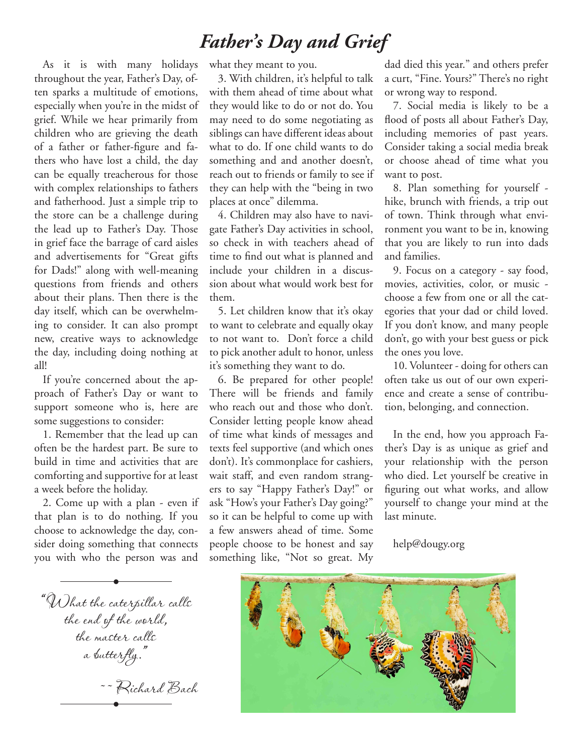### *Father's Day and Grief*

As it is with many holidays throughout the year, Father's Day, often sparks a multitude of emotions, especially when you're in the midst of grief. While we hear primarily from children who are grieving the death of a father or father-figure and fathers who have lost a child, the day can be equally treacherous for those with complex relationships to fathers and fatherhood. Just a simple trip to the store can be a challenge during the lead up to Father's Day. Those in grief face the barrage of card aisles and advertisements for "Great gifts for Dads!" along with well-meaning questions from friends and others about their plans. Then there is the day itself, which can be overwhelming to consider. It can also prompt new, creative ways to acknowledge the day, including doing nothing at all!

If you're concerned about the approach of Father's Day or want to support someone who is, here are some suggestions to consider:

1. Remember that the lead up can often be the hardest part. Be sure to build in time and activities that are comforting and supportive for at least a week before the holiday.

2. Come up with a plan - even if that plan is to do nothing. If you choose to acknowledge the day, consider doing something that connects you with who the person was and

what they meant to you.

3. With children, it's helpful to talk with them ahead of time about what they would like to do or not do. You may need to do some negotiating as siblings can have different ideas about what to do. If one child wants to do something and and another doesn't, reach out to friends or family to see if they can help with the "being in two places at once" dilemma.

4. Children may also have to navigate Father's Day activities in school, so check in with teachers ahead of time to find out what is planned and include your children in a discussion about what would work best for them.

5. Let children know that it's okay to want to celebrate and equally okay to not want to. Don't force a child to pick another adult to honor, unless it's something they want to do.

6. Be prepared for other people! There will be friends and family who reach out and those who don't. Consider letting people know ahead of time what kinds of messages and texts feel supportive (and which ones don't). It's commonplace for cashiers, wait staff, and even random strangers to say "Happy Father's Day!" or ask "How's your Father's Day going?" so it can be helpful to come up with a few answers ahead of time. Some people choose to be honest and say something like, "Not so great. My dad died this year." and others prefer a curt, "Fine. Yours?" There's no right or wrong way to respond.

7. Social media is likely to be a flood of posts all about Father's Day, including memories of past years. Consider taking a social media break or choose ahead of time what you want to post.

8. Plan something for yourself hike, brunch with friends, a trip out of town. Think through what environment you want to be in, knowing that you are likely to run into dads and families.

9. Focus on a category - say food, movies, activities, color, or music choose a few from one or all the categories that your dad or child loved. If you don't know, and many people don't, go with your best guess or pick the ones you love.

10. Volunteer - doing for others can often take us out of our own experience and create a sense of contribution, belonging, and connection.

In the end, how you approach Father's Day is as unique as grief and your relationship with the person who died. Let yourself be creative in figuring out what works, and allow yourself to change your mind at the last minute.

help@dougy.org

"What the caterpillar calls the end of the world, the master calls a butterfly." ~~ Richard Bach **•**

**•**